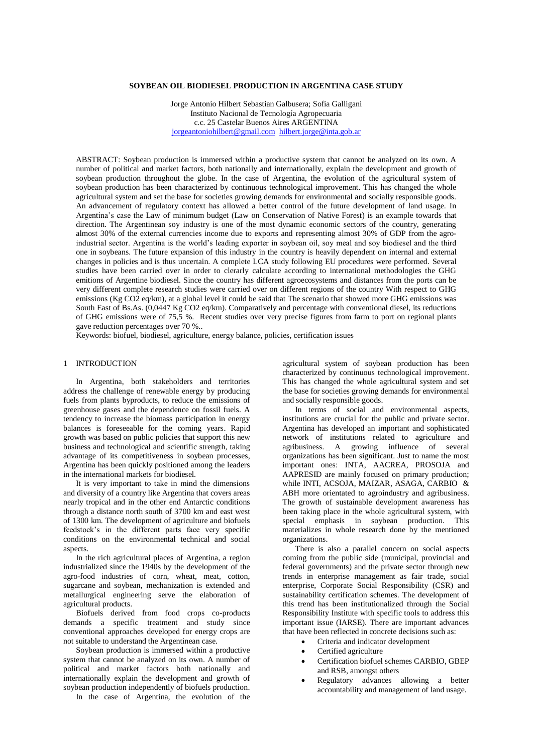# **SOYBEAN OIL BIODIESEL PRODUCTION IN ARGENTINA CASE STUDY**

Jorge Antonio Hilbert Sebastian Galbusera; Sofia Galligani Instituto Nacional de Tecnología Agropecuaria c.c. 25 Castelar Buenos Aires ARGENTINA [jorgeantoniohilbert@gmail.com](mailto:jorgeantoniohilbert@gmail.com) [hilbert.jorge@inta.gob.ar](mailto:hilbert.jorge@inta.gob.ar)

ABSTRACT: Soybean production is immersed within a productive system that cannot be analyzed on its own. A number of political and market factors, both nationally and internationally, explain the development and growth of soybean production throughout the globe. In the case of Argentina, the evolution of the agricultural system of soybean production has been characterized by continuous technological improvement. This has changed the whole agricultural system and set the base for societies growing demands for environmental and socially responsible goods. An advancement of regulatory context has allowed a better control of the future development of land usage. In Argentina's case the Law of minimum budget (Law on Conservation of Native Forest) is an example towards that direction. The Argentinean soy industry is one of the most dynamic economic sectors of the country, generating almost 30% of the external currencies income due to exports and representing almost 30% of GDP from the agroindustrial sector. Argentina is the world's leading exporter in soybean oil, soy meal and soy biodiesel and the third one in soybeans. The future expansion of this industry in the country is heavily dependent on internal and external changes in policies and is thus uncertain. A complete LCA study following EU procedures were performed. Several studies have been carried over in order to clerarly calculate according to international methodologies the GHG emitions of Argentine biodiesel. Since the country has different agroecosystems and distances from the ports can be very different complete research studies were carried over on different regions of the country With respect to GHG emissions (Kg CO2 eq/km), at a global level it could be said that The scenario that showed more GHG emissions was South East of Bs.As. (0,0447 Kg CO2 eq/km). Comparatively and percentage with conventional diesel, its reductions of GHG emissions were of 75,5 %. Recent studies over very precise figures from farm to port on regional plants gave reduction percentages over 70 %..

Keywords: biofuel, biodiesel, agriculture, energy balance, policies, certification issues

### 1 INTRODUCTION

In Argentina, both stakeholders and territories address the challenge of renewable energy by producing fuels from plants byproducts, to reduce the emissions of greenhouse gases and the dependence on fossil fuels. A tendency to increase the biomass participation in energy balances is foreseeable for the coming years. Rapid growth was based on public policies that support this new business and technological and scientific strength, taking advantage of its competitiveness in soybean processes, Argentina has been quickly positioned among the leaders in the international markets for biodiesel.

It is very important to take in mind the dimensions and diversity of a country like Argentina that covers areas nearly tropical and in the other end Antarctic conditions through a distance north south of 3700 km and east west of 1300 km. The development of agriculture and biofuels feedstock's in the different parts face very specific conditions on the environmental technical and social aspects.

In the rich agricultural places of Argentina, a region industrialized since the 1940s by the development of the agro-food industries of corn, wheat, meat, cotton, sugarcane and soybean, mechanization is extended and metallurgical engineering serve the elaboration of agricultural products.

Biofuels derived from food crops co-products demands a specific treatment and study since conventional approaches developed for energy crops are not suitable to understand the Argentinean case.

Soybean production is immersed within a productive system that cannot be analyzed on its own. A number of political and market factors both nationally and internationally explain the development and growth of soybean production independently of biofuels production.

In the case of Argentina, the evolution of the

agricultural system of soybean production has been characterized by continuous technological improvement. This has changed the whole agricultural system and set the base for societies growing demands for environmental and socially responsible goods.

In terms of social and environmental aspects, institutions are crucial for the public and private sector. Argentina has developed an important and sophisticated network of institutions related to agriculture and agribusiness. A growing influence of several organizations has been significant. Just to name the most important ones: INTA, AACREA, PROSOJA and AAPRESID are mainly focused on primary production; while INTI, ACSOJA, MAIZAR, ASAGA, CARBIO & ABH more orientated to agroindustry and agribusiness. The growth of sustainable development awareness has been taking place in the whole agricultural system, with special emphasis in soybean production. This materializes in whole research done by the mentioned organizations.

There is also a parallel concern on social aspects coming from the public side (municipal, provincial and federal governments) and the private sector through new trends in enterprise management as fair trade, social enterprise, Corporate Social Responsibility (CSR) and sustainability certification schemes. The development of this trend has been institutionalized through the Social Responsibility Institute with specific tools to address this important issue (IARSE). There are important advances that have been reflected in concrete decisions such as:

- Criteria and indicator development
- Certified agriculture
- Certification biofuel schemes CARBIO, GBEP and RSB, amongst others
- Regulatory advances allowing a better accountability and management of land usage.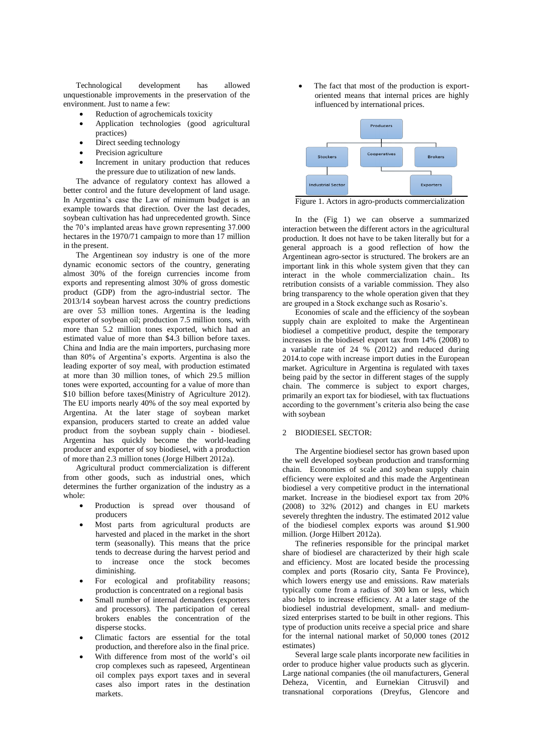Technological development has allowed unquestionable improvements in the preservation of the environment. Just to name a few:

- Reduction of agrochemicals toxicity
- Application technologies (good agricultural practices)
- Direct seeding technology
- Precision agriculture
- Increment in unitary production that reduces the pressure due to utilization of new lands.

The advance of regulatory context has allowed a better control and the future development of land usage. In Argentina's case the Law of minimum budget is an example towards that direction. Over the last decades, soybean cultivation has had unprecedented growth. Since the 70's implanted areas have grown representing 37.000 hectares in the 1970/71 campaign to more than 17 million in the present.

The Argentinean soy industry is one of the more dynamic economic sectors of the country, generating almost 30% of the foreign currencies income from exports and representing almost 30% of gross domestic product (GDP) from the agro-industrial sector. The 2013/14 soybean harvest across the country predictions are over 53 million tones. Argentina is the leading exporter of soybean oil; production 7.5 million tons, with more than 5.2 million tones exported, which had an estimated value of more than \$4.3 billion before taxes. China and India are the main importers, purchasing more than 80% of Argentina's exports. Argentina is also the leading exporter of soy meal, with production estimated at more than 30 million tones, of which 29.5 million tones were exported, accounting for a value of more than \$10 billion before taxes(Ministry of Agriculture 2012). The EU imports nearly 40% of the soy meal exported by Argentina. At the later stage of soybean market expansion, producers started to create an added value product from the soybean supply chain - biodiesel. Argentina has quickly become the world-leading producer and exporter of soy biodiesel, with a production of more than 2.3 million tones (Jorge Hilbert 2012a).

Agricultural product commercialization is different from other goods, such as industrial ones, which determines the further organization of the industry as a whole:

- Production is spread over thousand of producers
- Most parts from agricultural products are harvested and placed in the market in the short term (seasonally). This means that the price tends to decrease during the harvest period and to increase once the stock becomes diminishing.
- For ecological and profitability reasons; production is concentrated on a regional basis
- Small number of internal demanders (exporters and processors). The participation of cereal brokers enables the concentration of the disperse stocks.
- Climatic factors are essential for the total production, and therefore also in the final price.
- With difference from most of the world's oil crop complexes such as rapeseed, Argentinean oil complex pays export taxes and in several cases also import rates in the destination markets.

 The fact that most of the production is exportoriented means that internal prices are highly influenced by international prices.



Figure 1. Actors in agro-products commercialization

In the (Fig 1) we can observe a summarized interaction between the different actors in the agricultural production. It does not have to be taken literally but for a general approach is a good reflection of how the Argentinean agro-sector is structured. The brokers are an important link in this whole system given that they can interact in the whole commercialization chain.. Its retribution consists of a variable commission. They also bring transparency to the whole operation given that they are grouped in a Stock exchange such as Rosario's.

Economies of scale and the efficiency of the soybean supply chain are exploited to make the Argentinean biodiesel a competitive product, despite the temporary increases in the biodiesel export tax from 14% (2008) to a variable rate of 24 % (2012) and reduced during 2014.to cope with increase import duties in the European market. Agriculture in Argentina is regulated with taxes being paid by the sector in different stages of the supply chain. The commerce is subject to export charges, primarily an export tax for biodiesel, with tax fluctuations according to the government's criteria also being the case with soybean

### 2 BIODIESEL SECTOR:

The Argentine biodiesel sector has grown based upon the well developed soybean production and transforming chain. Economies of scale and soybean supply chain efficiency were exploited and this made the Argentinean biodiesel a very competitive product in the international market. Increase in the biodiesel export tax from 20% (2008) to 32% (2012) and changes in EU markets severely threghten the industry. The estimated 2012 value of the biodiesel complex exports was around \$1.900 million. (Jorge Hilbert 2012a).

The refineries responsible for the principal market share of biodiesel are characterized by their high scale and efficiency. Most are located beside the processing complex and ports (Rosario city, Santa Fe Province), which lowers energy use and emissions. Raw materials typically come from a radius of 300 km or less, which also helps to increase efficiency. At a later stage of the biodiesel industrial development, small- and mediumsized enterprises started to be built in other regions. This type of production units receive a special price and share for the internal national market of 50,000 tones (2012 estimates)

Several large scale plants incorporate new facilities in order to produce higher value products such as glycerin. Large national companies (the oil manufacturers, General Deheza, Vicentin, and Eurnekian Citrusvil) and transnational corporations (Dreyfus, Glencore and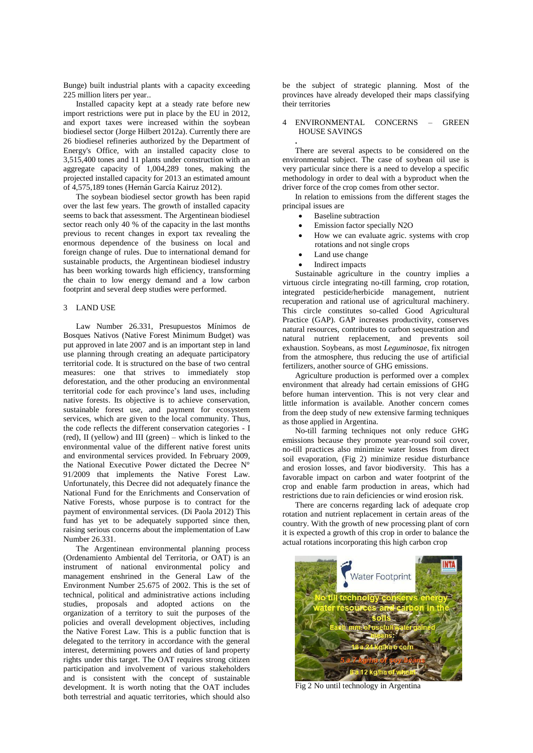Bunge) built industrial plants with a capacity exceeding 225 million liters per year..

Installed capacity kept at a steady rate before new import restrictions were put in place by the EU in 2012, and export taxes were increased within the soybean biodiesel sector (Jorge Hilbert 2012a). Currently there are 26 biodiesel refineries authorized by the Department of Energy's Office, with an installed capacity close to 3,515,400 tones and 11 plants under construction with an aggregate capacity of 1,004,289 tones, making the projected installed capacity for 2013 an estimated amount of 4,575,189 tones (Hernán García Kairuz 2012).

The soybean biodiesel sector growth has been rapid over the last few years. The growth of installed capacity seems to back that assessment. The Argentinean biodiesel sector reach only 40 % of the capacity in the last months previous to recent changes in export tax revealing the enormous dependence of the business on local and foreign change of rules. Due to international demand for sustainable products, the Argentinean biodiesel industry has been working towards high efficiency, transforming the chain to low energy demand and a low carbon footprint and several deep studies were performed.

## 3 LAND USE

Law Number 26.331, Presupuestos Mínimos de Bosques Nativos (Native Forest Minimum Budget) was put approved in late 2007 and is an important step in land use planning through creating an adequate participatory territorial code. It is structured on the base of two central measures: one that strives to immediately stop deforestation, and the other producing an environmental territorial code for each province's land uses, including native forests. Its objective is to achieve conservation, sustainable forest use, and payment for ecosystem services, which are given to the local community. Thus, the code reflects the different conservation categories - I (red), II (yellow) and III (green) – which is linked to the environmental value of the different native forest units and environmental services provided. In February 2009, the National Executive Power dictated the Decree N° 91/2009 that implements the Native Forest Law. Unfortunately, this Decree did not adequately finance the National Fund for the Enrichments and Conservation of Native Forests, whose purpose is to contract for the payment of environmental services. (Di Paola 2012) This fund has yet to be adequately supported since then, raising serious concerns about the implementation of Law Number 26.331.

The Argentinean environmental planning process (Ordenamiento Ambiental del Territoria, or OAT) is an instrument of national environmental policy and management enshrined in the General Law of the Environment Number 25.675 of 2002. This is the set of technical, political and administrative actions including studies, proposals and adopted actions on the organization of a territory to suit the purposes of the policies and overall development objectives, including the Native Forest Law. This is a public function that is delegated to the territory in accordance with the general interest, determining powers and duties of land property rights under this target. The OAT requires strong citizen participation and involvement of various stakeholders and is consistent with the concept of sustainable development. It is worth noting that the OAT includes both terrestrial and aquatic territories, which should also

be the subject of strategic planning. Most of the provinces have already developed their maps classifying their territories

### 4 ENVIRONMENTAL CONCERNS – GREEN HOUSE SAVINGS

There are several aspects to be considered on the environmental subject. The case of soybean oil use is very particular since there is a need to develop a specific methodology in order to deal with a byproduct when the driver force of the crop comes from other sector.

In relation to emissions from the different stages the principal issues are

- Baseline subtraction
- Emission factor specially N2O
- How we can evaluate agric. systems with crop rotations and not single crops
- Land use change
- Indirect impacts

**.**

Sustainable agriculture in the country implies a virtuous circle integrating no-till farming, crop rotation, integrated pesticide/herbicide management, nutrient recuperation and rational use of agricultural machinery. This circle constitutes so-called Good Agricultural Practice (GAP). GAP increases productivity, conserves natural resources, contributes to carbon sequestration and natural nutrient replacement, and prevents soil exhaustion. Soybeans, as most *Leguminosae*, fix nitrogen from the atmosphere, thus reducing the use of artificial fertilizers, another source of GHG emissions.

Agriculture production is performed over a complex environment that already had certain emissions of GHG before human intervention. This is not very clear and little information is available. Another concern comes from the deep study of new extensive farming techniques as those applied in Argentina.

No-till farming techniques not only reduce GHG emissions because they promote year-round soil cover, no-till practices also minimize water losses from direct soil evaporation, (Fig 2) minimize residue disturbance and erosion losses, and favor biodiversity. This has a favorable impact on carbon and water footprint of the crop and enable farm production in areas, which had restrictions due to rain deficiencies or wind erosion risk.

There are concerns regarding lack of adequate crop rotation and nutrient replacement in certain areas of the country. With the growth of new processing plant of corn it is expected a growth of this crop in order to balance the actual rotations incorporating this high carbon crop



Fig 2 No until technology in Argentina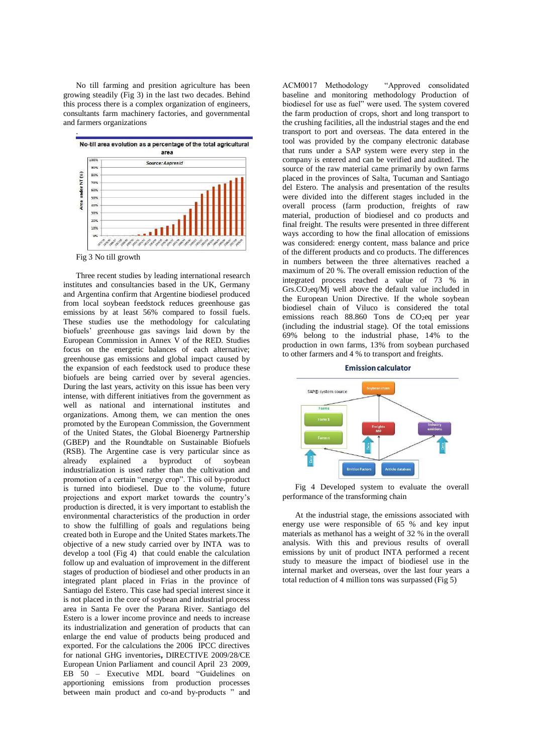No till farming and presition agriculture has been growing steadily (Fig 3) in the last two decades. Behind this process there is a complex organization of engineers, consultants farm machinery factories, and governmental and farmers organizations



Three recent studies by leading international research institutes and consultancies based in the UK, Germany and Argentina confirm that Argentine biodiesel produced from local soybean feedstock reduces greenhouse gas emissions by at least 56% compared to fossil fuels. These studies use the methodology for calculating biofuels' greenhouse gas savings laid down by the European Commission in Annex V of the RED. Studies focus on the energetic balances of each alternative; greenhouse gas emissions and global impact caused by the expansion of each feedstock used to produce these biofuels are being carried over by several agencies. During the last years, activity on this issue has been very intense, with different initiatives from the government as well as national and international institutes and organizations. Among them, we can mention the ones promoted by the European Commission, the Government of the United States, the Global Bioenergy Partnership (GBEP) and the Roundtable on Sustainable Biofuels (RSB). The Argentine case is very particular since as already explained a byproduct of soybean industrialization is used rather than the cultivation and promotion of a certain "energy crop". This oil by-product is turned into biodiesel. Due to the volume, future projections and export market towards the country's production is directed, it is very important to establish the environmental characteristics of the production in order to show the fulfilling of goals and regulations being created both in Europe and the United States markets.The objective of a new study carried over by INTA was to develop a tool (Fig 4) that could enable the calculation follow up and evaluation of improvement in the different stages of production of biodiesel and other products in an integrated plant placed in Frias in the province of Santiago del Estero. This case had special interest since it is not placed in the core of soybean and industrial process area in Santa Fe over the Parana River. Santiago del Estero is a lower income province and needs to increase its industrialization and generation of products that can enlarge the end value of products being produced and exported. For the calculations the 2006 IPCC directives for national GHG inventories**,** DIRECTIVE 2009/28/CE European Union Parliament and council April 23 2009, EB 50 – Executive MDL board "Guidelines on apportioning emissions from production processes between main product and co-and by-products " and ACM0017 Methodology "Approved consolidated baseline and monitoring methodology Production of biodiesel for use as fuel" were used. The system covered the farm production of crops, short and long transport to the crushing facilities, all the industrial stages and the end transport to port and overseas. The data entered in the tool was provided by the company electronic database that runs under a SAP system were every step in the company is entered and can be verified and audited. The source of the raw material came primarily by own farms placed in the provinces of Salta, Tucuman and Santiago del Estero. The analysis and presentation of the results were divided into the different stages included in the overall process (farm production, freights of raw material, production of biodiesel and co products and final freight. The results were presented in three different ways according to how the final allocation of emissions was considered: energy content, mass balance and price of the different products and co products. The differences in numbers between the three alternatives reached a maximum of 20 %. The overall emission reduction of the integrated process reached a value of 73 % in Grs.CO2eq/Mj well above the default value included in the European Union Directive. If the whole soybean biodiesel chain of Viluco is considered the total emissions reach 88.860 Tons de CO2eq per year (including the industrial stage). Of the total emissions 69% belong to the industrial phase, 14% to the production in own farms, 13% from soybean purchased to other farmers and 4 % to transport and freights.

**Emission calculator** 



Fig 4 Developed system to evaluate the overall performance of the transforming chain

At the industrial stage, the emissions associated with energy use were responsible of 65 % and key input materials as methanol has a weight of 32 % in the overall analysis. With this and previous results of overall emissions by unit of product INTA performed a recent study to measure the impact of biodiesel use in the internal market and overseas, over the last four years a total reduction of 4 million tons was surpassed (Fig 5)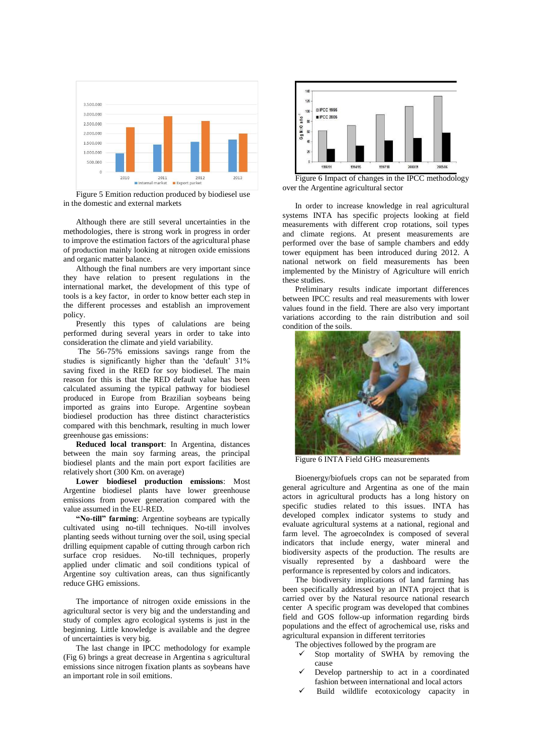

Figure 5 Emition reduction produced by biodiesel use in the domestic and external markets

Although there are still several uncertainties in the methodologies, there is strong work in progress in order to improve the estimation factors of the agricultural phase of production mainly looking at nitrogen oxide emissions and organic matter balance.

Although the final numbers are very important since they have relation to present regulations in the international market, the development of this type of tools is a key factor, in order to know better each step in the different processes and establish an improvement policy.

Presently this types of calulations are being performed during several years in order to take into consideration the climate and yield variability.

The 56-75% emissions savings range from the studies is significantly higher than the 'default' 31% saving fixed in the RED for soy biodiesel. The main reason for this is that the RED default value has been calculated assuming the typical pathway for biodiesel produced in Europe from Brazilian soybeans being imported as grains into Europe. Argentine soybean biodiesel production has three distinct characteristics compared with this benchmark, resulting in much lower greenhouse gas emissions:

**Reduced local transport**: In Argentina, distances between the main soy farming areas, the principal biodiesel plants and the main port export facilities are relatively short (300 Km. on average)

**Lower biodiesel production emissions**: Most Argentine biodiesel plants have lower greenhouse emissions from power generation compared with the value assumed in the EU-RED.

**"No-till" farming**: Argentine soybeans are typically cultivated using no-till techniques. No-till involves planting seeds without turning over the soil, using special drilling equipment capable of cutting through carbon rich surface crop residues. No-till techniques, properly applied under climatic and soil conditions typical of Argentine soy cultivation areas, can thus significantly reduce GHG emissions.

The importance of nitrogen oxide emissions in the agricultural sector is very big and the understanding and study of complex agro ecological systems is just in the beginning. Little knowledge is available and the degree of uncertainties is very big.

The last change in IPCC methodology for example (Fig 6) brings a great decrease in Argentina s agricultural emissions since nitrogen fixation plants as soybeans have an important role in soil emitions.



Figure 6 Impact of changes in the IPCC methodology over the Argentine agricultural sector

In order to increase knowledge in real agricultural systems INTA has specific projects looking at field measurements with different crop rotations, soil types and climate regions. At present measurements are performed over the base of sample chambers and eddy tower equipment has been introduced during 2012. A national network on field measurements has been implemented by the Ministry of Agriculture will enrich these studies.

Preliminary results indicate important differences between IPCC results and real measurements with lower values found in the field. There are also very important variations according to the rain distribution and soil condition of the soils.



Figure 6 INTA Field GHG measurements

Bioenergy/biofuels crops can not be separated from general agriculture and Argentina as one of the main actors in agricultural products has a long history on specific studies related to this issues. INTA has developed complex indicator systems to study and evaluate agricultural systems at a national, regional and farm level. The agroecoIndex is composed of several indicators that include energy, water mineral and biodiversity aspects of the production. The results are visually represented by a dashboard were the performance is represented by colors and indicators.

The biodiversity implications of land farming has been specifically addressed by an INTA project that is carried over by the Natural resource national research center A specific program was developed that combines field and GOS follow-up information regarding birds populations and the effect of agrochemical use, risks and agricultural expansion in different territories

The objectives followed by the program are

- Stop mortality of SWHA by removing the cause
- Develop partnership to act in a coordinated fashion between international and local actors
- Build wildlife ecotoxicology capacity in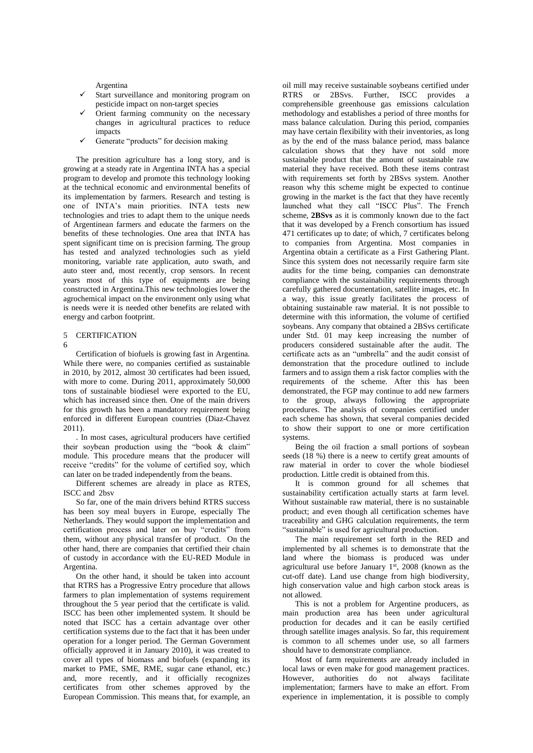Argentina

- Start surveillance and monitoring program on pesticide impact on non-target species
- Orient farming community on the necessary changes in agricultural practices to reduce impacts
- Generate "products" for decision making

The presition agriculture has a long story, and is growing at a steady rate in Argentina INTA has a special program to develop and promote this technology looking at the technical economic and environmental benefits of its implementation by farmers. Research and testing is one of INTA's main priorities. INTA tests new technologies and tries to adapt them to the unique needs of Argentinean farmers and educate the farmers on the benefits of these technologies. One area that INTA has spent significant time on is precision farming. The group has tested and analyzed technologies such as yield monitoring, variable rate application, auto swath, and auto steer and, most recently, crop sensors. In recent years most of this type of equipments are being constructed in Argentina.This new technologies lower the agrochemical impact on the environment only using what is needs were it is needed other benefits are related with energy and carbon footprint.

## 5 CERTIFICATION

6

Certification of biofuels is growing fast in Argentina. While there were, no companies certified as sustainable in 2010, by 2012, almost 30 certificates had been issued, with more to come. During 2011, approximately 50,000 tons of sustainable biodiesel were exported to the EU, which has increased since then. One of the main drivers for this growth has been a mandatory requirement being enforced in different European countries (Diaz-Chavez 2011).

. In most cases, agricultural producers have certified their soybean production using the "book & claim" module. This procedure means that the producer will receive "credits" for the volume of certified soy, which can later on be traded independently from the beans.

Different schemes are already in place as RTES, ISCC and 2bsv

So far, one of the main drivers behind RTRS success has been soy meal buyers in Europe, especially The Netherlands. They would support the implementation and certification process and later on buy "credits" from them, without any physical transfer of product. On the other hand, there are companies that certified their chain of custody in accordance with the EU-RED Module in Argentina.

On the other hand, it should be taken into account that RTRS has a Progressive Entry procedure that allows farmers to plan implementation of systems requirement throughout the 5 year period that the certificate is valid. ISCC has been other implemented system. It should be noted that ISCC has a certain advantage over other certification systems due to the fact that it has been under operation for a longer period. The German Government officially approved it in January 2010), it was created to cover all types of biomass and biofuels (expanding its market to PME, SME, RME, sugar cane ethanol, etc.) and, more recently, and it officially recognizes certificates from other schemes approved by the European Commission. This means that, for example, an

oil mill may receive sustainable soybeans certified under RTRS or 2BSvs. Further, ISCC provides a comprehensible greenhouse gas emissions calculation methodology and establishes a period of three months for mass balance calculation. During this period, companies may have certain flexibility with their inventories, as long as by the end of the mass balance period, mass balance calculation shows that they have not sold more sustainable product that the amount of sustainable raw material they have received. Both these items contrast with requirements set forth by 2BSvs system. Another reason why this scheme might be expected to continue growing in the market is the fact that they have recently launched what they call "ISCC Plus". The French scheme, **2BSvs** as it is commonly known due to the fact that it was developed by a French consortium has issued 471 certificates up to date; of which, 7 certificates belong to companies from Argentina. Most companies in Argentina obtain a certificate as a First Gathering Plant. Since this system does not necessarily require farm site audits for the time being, companies can demonstrate compliance with the sustainability requirements through carefully gathered documentation, satellite images, etc. In a way, this issue greatly facilitates the process of obtaining sustainable raw material. It is not possible to determine with this information, the volume of certified soybeans. Any company that obtained a 2BSvs certificate under Std. 01 may keep increasing the number of producers considered sustainable after the audit. The certificate acts as an "umbrella" and the audit consist of demonstration that the procedure outlined to include farmers and to assign them a risk factor complies with the requirements of the scheme. After this has been demonstrated, the FGP may continue to add new farmers to the group, always following the appropriate procedures. The analysis of companies certified under each scheme has shown, that several companies decided to show their support to one or more certification systems.

Being the oil fraction a small portions of soybean seeds (18 %) there is a neew to certify great amounts of raw material in order to cover the whole biodiesel production. Little credit is obtained from this.

It is common ground for all schemes that sustainability certification actually starts at farm level. Without sustainable raw material, there is no sustainable product; and even though all certification schemes have traceability and GHG calculation requirements, the term "sustainable" is used for agricultural production.

The main requirement set forth in the RED and implemented by all schemes is to demonstrate that the land where the biomass is produced was under agricultural use before January  $1<sup>st</sup>$ , 2008 (known as the cut-off date). Land use change from high biodiversity, high conservation value and high carbon stock areas is not allowed.

This is not a problem for Argentine producers, as main production area has been under agricultural production for decades and it can be easily certified through satellite images analysis. So far, this requirement is common to all schemes under use, so all farmers should have to demonstrate compliance.

Most of farm requirements are already included in local laws or even make for good management practices. However, authorities do not always facilitate implementation; farmers have to make an effort. From experience in implementation, it is possible to comply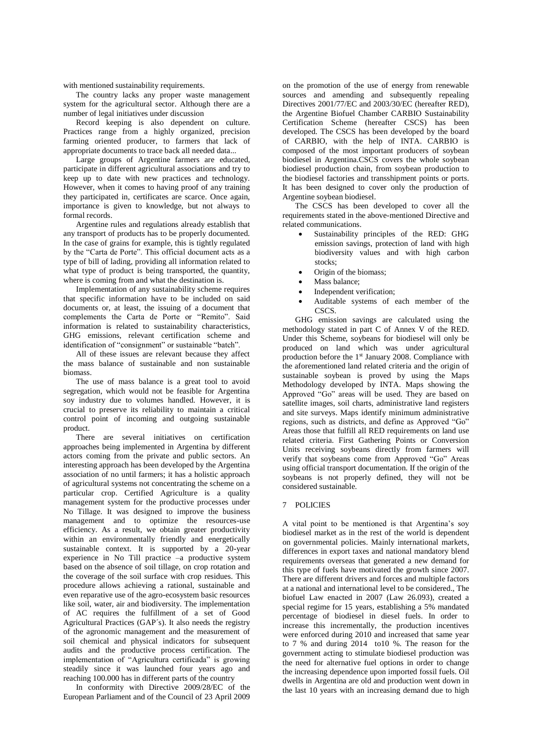with mentioned sustainability requirements.

The country lacks any proper waste management system for the agricultural sector. Although there are a number of legal initiatives under discussion

Record keeping is also dependent on culture. Practices range from a highly organized, precision farming oriented producer, to farmers that lack of appropriate documents to trace back all needed data...

Large groups of Argentine farmers are educated, participate in different agricultural associations and try to keep up to date with new practices and technology. However, when it comes to having proof of any training they participated in, certificates are scarce. Once again, importance is given to knowledge, but not always to formal records.

Argentine rules and regulations already establish that any transport of products has to be properly documented. In the case of grains for example, this is tightly regulated by the "Carta de Porte". This official document acts as a type of bill of lading, providing all information related to what type of product is being transported, the quantity, where is coming from and what the destination is.

Implementation of any sustainability scheme requires that specific information have to be included on said documents or, at least, the issuing of a document that complements the Carta de Porte or "Remito". Said information is related to sustainability characteristics, GHG emissions, relevant certification scheme and identification of "consignment" or sustainable "batch".

All of these issues are relevant because they affect the mass balance of sustainable and non sustainable biomass.

The use of mass balance is a great tool to avoid segregation, which would not be feasible for Argentina soy industry due to volumes handled. However, it is crucial to preserve its reliability to maintain a critical control point of incoming and outgoing sustainable product.

There are several initiatives on certification approaches being implemented in Argentina by different actors coming from the private and public sectors. An interesting approach has been developed by the Argentina association of no until farmers; it has a holistic approach of agricultural systems not concentrating the scheme on a particular crop. Certified Agriculture is a quality management system for the productive processes under No Tillage. It was designed to improve the business management and to optimize the resources-use efficiency. As a result, we obtain greater productivity within an environmentally friendly and energetically sustainable context. It is supported by a 20-year experience in No Till practice –a productive system based on the absence of soil tillage, on crop rotation and the coverage of the soil surface with crop residues. This procedure allows achieving a rational, sustainable and even reparative use of the agro-ecosystem basic resources like soil, water, air and biodiversity. The implementation of AC requires the fulfillment of a set of Good Agricultural Practices (GAP´s). It also needs the registry of the agronomic management and the measurement of soil chemical and physical indicators for subsequent audits and the productive process certification. The implementation of "Agricultura certificada" is growing steadily since it was launched four years ago and reaching 100.000 has in different parts of the country

In conformity with Directive 2009/28/EC of the European Parliament and of the Council of 23 April 2009

on the promotion of the use of energy from renewable sources and amending and subsequently repealing Directives 2001/77/EC and 2003/30/EC (hereafter RED). the Argentine Biofuel Chamber CARBIO Sustainability Certification Scheme (hereafter CSCS) has been developed. The CSCS has been developed by the board of CARBIO, with the help of INTA. CARBIO is composed of the most important producers of soybean biodiesel in Argentina.CSCS covers the whole soybean biodiesel production chain, from soybean production to the biodiesel factories and transshipment points or ports. It has been designed to cover only the production of Argentine soybean biodiesel.

The CSCS has been developed to cover all the requirements stated in the above-mentioned Directive and related communications.

- Sustainability principles of the RED: GHG emission savings, protection of land with high biodiversity values and with high carbon stocks:
- Origin of the biomass;
- Mass balance;
- Independent verification;
- Auditable systems of each member of the CSC<sub>S</sub>

GHG emission savings are calculated using the methodology stated in part C of Annex V of the RED. Under this Scheme, soybeans for biodiesel will only be produced on land which was under agricultural production before the 1st January 2008. Compliance with the aforementioned land related criteria and the origin of sustainable soybean is proved by using the Maps Methodology developed by INTA. Maps showing the Approved "Go" areas will be used. They are based on satellite images, soil charts, administrative land registers and site surveys. Maps identify minimum administrative regions, such as districts, and define as Approved "Go" Areas those that fulfill all RED requirements on land use related criteria. First Gathering Points or Conversion Units receiving soybeans directly from farmers will verify that soybeans come from Approved "Go" Areas using official transport documentation. If the origin of the soybeans is not properly defined, they will not be considered sustainable.

## 7 POLICIES

A vital point to be mentioned is that Argentina's soy biodiesel market as in the rest of the world is dependent on governmental policies. Mainly international markets, differences in export taxes and national mandatory blend requirements overseas that generated a new demand for this type of fuels have motivated the growth since 2007. There are different drivers and forces and multiple factors at a national and international level to be considered., The biofuel Law enacted in 2007 (Law 26.093), created a special regime for 15 years, establishing a 5% mandated percentage of biodiesel in diesel fuels. In order to increase this incrementally, the production incentives were enforced during 2010 and increased that same year to 7 % and during 2014 to10 %. The reason for the government acting to stimulate biodiesel production was the need for alternative fuel options in order to change the increasing dependence upon imported fossil fuels. Oil dwells in Argentina are old and production went down in the last 10 years with an increasing demand due to high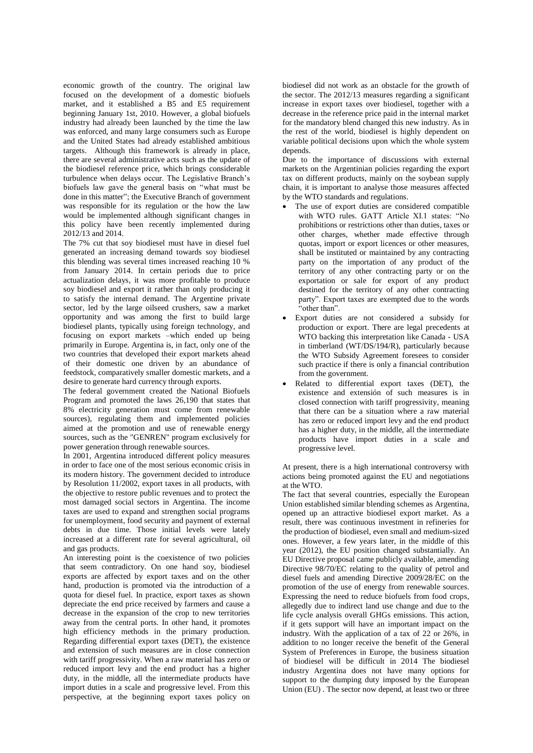economic growth of the country. The original law focused on the development of a domestic biofuels market, and it established a B5 and E5 requirement beginning January 1st, 2010. However, a global biofuels industry had already been launched by the time the law was enforced, and many large consumers such as Europe and the United States had already established ambitious targets. Although this framework is already in place, there are several administrative acts such as the update of the biodiesel reference price, which brings considerable turbulence when delays occur. The Legislative Branch's biofuels law gave the general basis on "what must be done in this matter"; the Executive Branch of government was responsible for its regulation or the how the law would be implemented although significant changes in this policy have been recently implemented during 2012/13 and 2014.

The 7% cut that soy biodiesel must have in diesel fuel generated an increasing demand towards soy biodiesel this blending was several times increased reaching 10 % from January 2014. In certain periods due to price actualization delays, it was more profitable to produce soy biodiesel and export it rather than only producing it to satisfy the internal demand. The Argentine private sector, led by the large oilseed crushers, saw a market opportunity and was among the first to build large biodiesel plants, typically using foreign technology, and focusing on export markets –which ended up being primarily in Europe. Argentina is, in fact, only one of the two countries that developed their export markets ahead of their domestic one driven by an abundance of feedstock, comparatively smaller domestic markets, and a desire to generate hard currency through exports.

The federal government created the National Biofuels Program and promoted the laws 26,190 that states that 8% electricity generation must come from renewable sources), regulating them and implemented policies aimed at the promotion and use of renewable energy sources, such as the "GENREN" program exclusively for power generation through renewable sources.

In 2001, Argentina introduced different policy measures in order to face one of the most serious economic crisis in its modern history. The government decided to introduce by Resolution 11/2002, export taxes in all products, with the objective to restore public revenues and to protect the most damaged social sectors in Argentina. The income taxes are used to expand and strengthen social programs for unemployment, food security and payment of external debts in due time. Those initial levels were lately increased at a different rate for several agricultural, oil and gas products.

An interesting point is the coexistence of two policies that seem contradictory. On one hand soy, biodiesel exports are affected by export taxes and on the other hand, production is promoted via the introduction of a quota for diesel fuel. In practice, export taxes as shown depreciate the end price received by farmers and cause a decrease in the expansion of the crop to new territories away from the central ports. In other hand, it promotes high efficiency methods in the primary production. Regarding differential export taxes (DET), the existence and extension of such measures are in close connection with tariff progressivity. When a raw material has zero or reduced import levy and the end product has a higher duty, in the middle, all the intermediate products have import duties in a scale and progressive level. From this perspective, at the beginning export taxes policy on biodiesel did not work as an obstacle for the growth of the sector. The 2012/13 measures regarding a significant increase in export taxes over biodiesel, together with a decrease in the reference price paid in the internal market for the mandatory blend changed this new industry. As in the rest of the world, biodiesel is highly dependent on variable political decisions upon which the whole system depends.

Due to the importance of discussions with external markets on the Argentinian policies regarding the export tax on different products, mainly on the soybean supply chain, it is important to analyse those measures affected by the WTO standards and regulations.

- The use of export duties are considered compatible with WTO rules. GATT Article XI.1 states: "No prohibitions or restrictions other than duties, taxes or other charges, whether made effective through quotas, import or export licences or other measures, shall be instituted or maintained by any contracting party on the importation of any product of the territory of any other contracting party or on the exportation or sale for export of any product destined for the territory of any other contracting party". Export taxes are exempted due to the words "other than".
- Export duties are not considered a subsidy for production or export. There are legal precedents at WTO backing this interpretation like Canada - USA in timberland (WT/DS/194/R), particularly because the WTO Subsidy Agreement foresees to consider such practice if there is only a financial contribution from the government.
- Related to differential export taxes (DET), the existence and extensión of such measures is in closed connection with tariff progressivity, meaning that there can be a situation where a raw material has zero or reduced import levy and the end product has a higher duty, in the middle, all the intermediate products have import duties in a scale and progressive level.

At present, there is a high international controversy with actions being promoted against the EU and negotiations at the WTO.

The fact that several countries, especially the European Union established similar blending schemes as Argentina, opened up an attractive biodiesel export market. As a result, there was continuous investment in refineries for the production of biodiesel, even small and medium-sized ones. However, a few years later, in the middle of this year (2012), the EU position changed substantially. An EU Directive proposal came publicly available, amending Directive 98/70/EC relating to the quality of petrol and diesel fuels and amending Directive 2009/28/EC on the promotion of the use of energy from renewable sources. Expressing the need to reduce biofuels from food crops, allegedly due to indirect land use change and due to the life cycle analysis overall GHGs emissions. This action, if it gets support will have an important impact on the industry. With the application of a tax of 22 or 26%, in addition to no longer receive the benefit of the General System of Preferences in Europe, the business situation of biodiesel will be difficult in 2014 The biodiesel industry Argentina does not have many options for support to the dumping duty imposed by the European Union (EU) . The sector now depend, at least two or three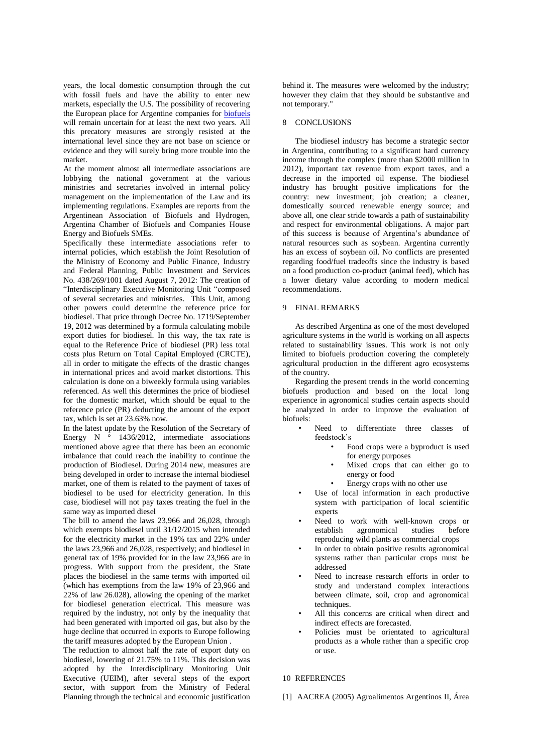years, the local domestic consumption through the cut with fossil fuels and have the ability to enter new markets, especially the U.S. The possibility of recovering the European place for Argentine companies for [biofuels](http://biodiesel.com.ar/category/biocombustibles) will remain uncertain for at least the next two years. All this precatory measures are strongly resisted at the international level since they are not base on science or evidence and they will surely bring more trouble into the market.

At the moment almost all intermediate associations are lobbying the national government at the various ministries and secretaries involved in internal policy management on the implementation of the Law and its implementing regulations. Examples are reports from the Argentinean Association of Biofuels and Hydrogen, Argentina Chamber of Biofuels and Companies House Energy and Biofuels SMEs.

Specifically these intermediate associations refer to internal policies, which establish the Joint Resolution of the Ministry of Economy and Public Finance, Industry and Federal Planning, Public Investment and Services No. 438/269/1001 dated August 7, 2012: The creation of "Interdisciplinary Executive Monitoring Unit "composed of several secretaries and ministries. This Unit, among other powers could determine the reference price for biodiesel. That price through Decree No. 1719/September 19, 2012 was determined by a formula calculating mobile export duties for biodiesel. In this way, the tax rate is equal to the Reference Price of biodiesel (PR) less total costs plus Return on Total Capital Employed (CRCTE), all in order to mitigate the effects of the drastic changes in international prices and avoid market distortions. This calculation is done on a biweekly formula using variables referenced. As well this determines the price of biodiesel for the domestic market, which should be equal to the reference price (PR) deducting the amount of the export tax, which is set at 23.63% now.

In the latest update by the Resolution of the Secretary of Energy  $N \circ 1436/2012$ , intermediate associations mentioned above agree that there has been an economic imbalance that could reach the inability to continue the production of Biodiesel. During 2014 new, measures are being developed in order to increase the internal biodiesel market, one of them is related to the payment of taxes of biodiesel to be used for electricity generation. In this case, biodiesel will not pay taxes treating the fuel in the same way as imported diesel

The bill to amend the laws 23,966 and 26,028, through which exempts biodiesel until 31/12/2015 when intended for the electricity market in the 19% tax and 22% under the laws 23,966 and 26,028, respectively; and biodiesel in general tax of 19% provided for in the law 23,966 are in progress. With support from the president, the State places the biodiesel in the same terms with imported oil (which has exemptions from the law 19% of 23,966 and 22% of law 26.028), allowing the opening of the market for biodiesel generation electrical. This measure was required by the industry, not only by the inequality that had been generated with imported oil gas, but also by the huge decline that occurred in exports to Europe following the tariff measures adopted by the European Union .

The reduction to almost half the rate of export duty on biodiesel, lowering of 21.75% to 11%. This decision was adopted by the Interdisciplinary Monitoring Unit Executive (UEIM), after several steps of the export sector, with support from the Ministry of Federal Planning through the technical and economic justification behind it. The measures were welcomed by the industry; however they claim that they should be substantive and not temporary."

### 8 CONCLUSIONS

The biodiesel industry has become a strategic sector in Argentina, contributing to a significant hard currency income through the complex (more than \$2000 million in 2012), important tax revenue from export taxes, and a decrease in the imported oil expense. The biodiesel industry has brought positive implications for the country: new investment; job creation; a cleaner, domestically sourced renewable energy source; and above all, one clear stride towards a path of sustainability and respect for environmental obligations. A major part of this success is because of Argentina's abundance of natural resources such as soybean. Argentina currently has an excess of soybean oil. No conflicts are presented regarding food/fuel tradeoffs since the industry is based on a food production co-product (animal feed), which has a lower dietary value according to modern medical recommendations.

#### 9 FINAL REMARKS

As described Argentina as one of the most developed agriculture systems in the world is working on all aspects related to sustainability issues. This work is not only limited to biofuels production covering the completely agricultural production in the different agro ecosystems of the country.

Regarding the present trends in the world concerning biofuels production and based on the local long experience in agronomical studies certain aspects should be analyzed in order to improve the evaluation of biofuels:

- Need to differentiate three classes of feedstock's
	- Food crops were a byproduct is used for energy purposes
	- Mixed crops that can either go to energy or food
	- Energy crops with no other use
- Use of local information in each productive system with participation of local scientific experts
- Need to work with well-known crops or establish agronomical studies before reproducing wild plants as commercial crops
- In order to obtain positive results agronomical systems rather than particular crops must be addressed
- Need to increase research efforts in order to study and understand complex interactions between climate, soil, crop and agronomical techniques.
- All this concerns are critical when direct and indirect effects are forecasted.
- Policies must be orientated to agricultural products as a whole rather than a specific crop or use.

### 10 REFERENCES

[1] AACREA (2005) Agroalimentos Argentinos II, Área